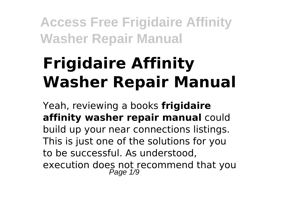# **Frigidaire Affinity Washer Repair Manual**

Yeah, reviewing a books **frigidaire affinity washer repair manual** could build up your near connections listings. This is just one of the solutions for you to be successful. As understood, execution does not recommend that you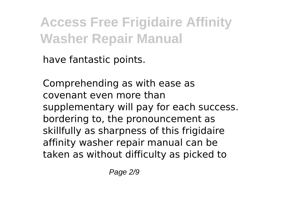have fantastic points.

Comprehending as with ease as covenant even more than supplementary will pay for each success. bordering to, the pronouncement as skillfully as sharpness of this frigidaire affinity washer repair manual can be taken as without difficulty as picked to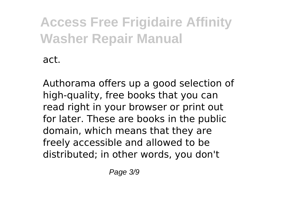act.

Authorama offers up a good selection of high-quality, free books that you can read right in your browser or print out for later. These are books in the public domain, which means that they are freely accessible and allowed to be distributed; in other words, you don't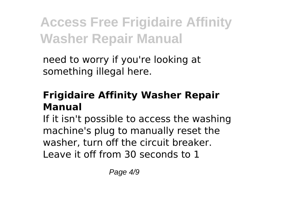need to worry if you're looking at something illegal here.

#### **Frigidaire Affinity Washer Repair Manual**

If it isn't possible to access the washing machine's plug to manually reset the washer, turn off the circuit breaker. Leave it off from 30 seconds to 1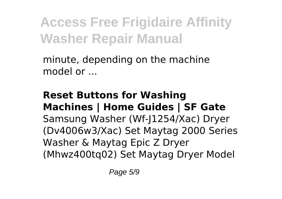minute, depending on the machine model or ...

**Reset Buttons for Washing Machines | Home Guides | SF Gate** Samsung Washer (Wf-J1254/Xac) Dryer (Dv4006w3/Xac) Set Maytag 2000 Series Washer & Maytag Epic Z Dryer (Mhwz400tq02) Set Maytag Dryer Model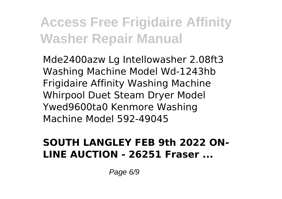Mde2400azw Lg Intellowasher 2.08ft3 Washing Machine Model Wd-1243hb Frigidaire Affinity Washing Machine Whirpool Duet Steam Dryer Model Ywed9600ta0 Kenmore Washing Machine Model 592-49045

#### **SOUTH LANGLEY FEB 9th 2022 ON-LINE AUCTION - 26251 Fraser ...**

Page 6/9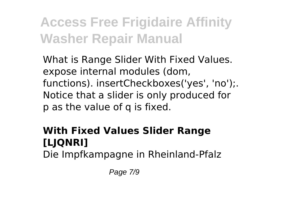What is Range Slider With Fixed Values. expose internal modules (dom, functions). insertCheckboxes('yes', 'no');. Notice that a slider is only produced for p as the value of q is fixed.

### **With Fixed Values Slider Range [LJQNRI]**

Die Impfkampagne in Rheinland-Pfalz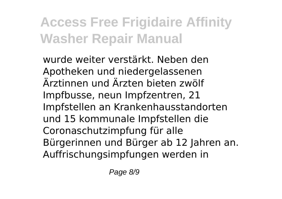wurde weiter verstärkt. Neben den Apotheken und niedergelassenen Ärztinnen und Ärzten bieten zwölf Impfbusse, neun Impfzentren, 21 Impfstellen an Krankenhausstandorten und 15 kommunale Impfstellen die Coronaschutzimpfung für alle Bürgerinnen und Bürger ab 12 Jahren an. Auffrischungsimpfungen werden in